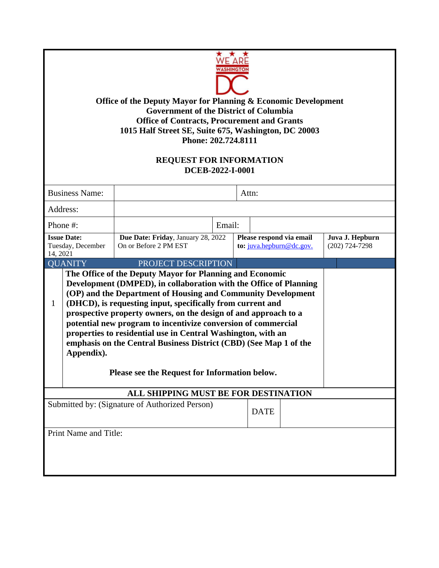| Office of the Deputy Mayor for Planning & Economic Development<br><b>Government of the District of Columbia</b><br><b>Office of Contracts, Procurement and Grants</b><br>1015 Half Street SE, Suite 675, Washington, DC 20003<br>Phone: 202.724.8111<br><b>REQUEST FOR INFORMATION</b><br>DCEB-2022-I-0001                                                                                                                                                                                                                                                                                               |                                                             |        |                                                      |  |                                     |
|----------------------------------------------------------------------------------------------------------------------------------------------------------------------------------------------------------------------------------------------------------------------------------------------------------------------------------------------------------------------------------------------------------------------------------------------------------------------------------------------------------------------------------------------------------------------------------------------------------|-------------------------------------------------------------|--------|------------------------------------------------------|--|-------------------------------------|
| <b>Business Name:</b>                                                                                                                                                                                                                                                                                                                                                                                                                                                                                                                                                                                    |                                                             |        | Attn:                                                |  |                                     |
| Address:                                                                                                                                                                                                                                                                                                                                                                                                                                                                                                                                                                                                 |                                                             |        |                                                      |  |                                     |
| Phone #:                                                                                                                                                                                                                                                                                                                                                                                                                                                                                                                                                                                                 |                                                             | Email: |                                                      |  |                                     |
| <b>Issue Date:</b><br>Tuesday, December<br>14, 2021                                                                                                                                                                                                                                                                                                                                                                                                                                                                                                                                                      | Due Date: Friday, January 28, 2022<br>On or Before 2 PM EST |        | Please respond via email<br>to: juva.hepburn@dc.gov. |  | Juva J. Hepburn<br>$(202)$ 724-7298 |
| <b>QUANITY</b>                                                                                                                                                                                                                                                                                                                                                                                                                                                                                                                                                                                           | PROJECT DESCRIPTION                                         |        |                                                      |  |                                     |
| The Office of the Deputy Mayor for Planning and Economic<br>Development (DMPED), in collaboration with the Office of Planning<br>(OP) and the Department of Housing and Community Development<br>(DHCD), is requesting input, specifically from current and<br>1<br>prospective property owners, on the design of and approach to a<br>potential new program to incentivize conversion of commercial<br>properties to residential use in Central Washington, with an<br>emphasis on the Central Business District (CBD) (See Map 1 of the<br>Appendix).<br>Please see the Request for Information below. |                                                             |        |                                                      |  |                                     |
| ALL SHIPPING MUST BE FOR DESTINATION                                                                                                                                                                                                                                                                                                                                                                                                                                                                                                                                                                     |                                                             |        |                                                      |  |                                     |
| Submitted by: (Signature of Authorized Person)<br><b>DATE</b>                                                                                                                                                                                                                                                                                                                                                                                                                                                                                                                                            |                                                             |        |                                                      |  |                                     |
| Print Name and Title:                                                                                                                                                                                                                                                                                                                                                                                                                                                                                                                                                                                    |                                                             |        |                                                      |  |                                     |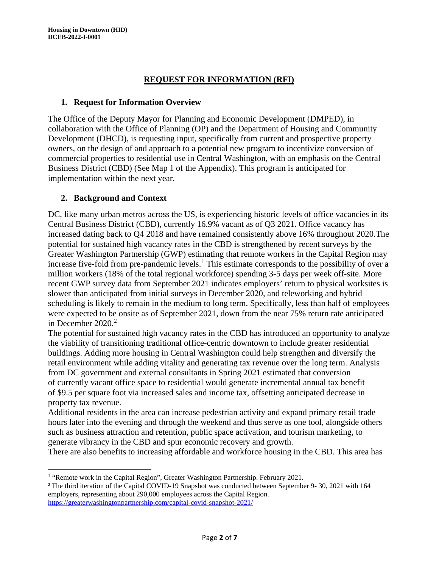# **REQUEST FOR INFORMATION (RFI)**

#### **1. Request for Information Overview**

The Office of the Deputy Mayor for Planning and Economic Development (DMPED), in collaboration with the Office of Planning (OP) and the Department of Housing and Community Development (DHCD), is requesting input, specifically from current and prospective property owners, on the design of and approach to a potential new program to incentivize conversion of commercial properties to residential use in Central Washington, with an emphasis on the Central Business District (CBD) (See Map 1 of the Appendix). This program is anticipated for implementation within the next year.

# **2. Background and Context**

DC, like many urban metros across the US, is experiencing historic levels of office vacancies in its Central Business District (CBD), currently 16.9% vacant as of Q3 2021. Office vacancy has increased dating back to Q4 2018 and have remained consistently above 16% throughout 2020.The potential for sustained high vacancy rates in the CBD is strengthened by recent surveys by the Greater Washington Partnership (GWP) estimating that remote workers in the Capital Region may increase five-fold from pre-pandemic levels.<sup>[1](#page-1-0)</sup> This estimate corresponds to the possibility of over a million workers (18% of the total regional workforce) spending 3-5 days per week off-site. More recent GWP survey data from September 2021 indicates employers' return to physical worksites is slower than anticipated from initial surveys in December 2020, and teleworking and hybrid scheduling is likely to remain in the medium to long term. Specifically, less than half of employees were expected to be onsite as of September 2021, down from the near 75% return rate anticipated in December  $2020.<sup>2</sup>$  $2020.<sup>2</sup>$ 

The potential for sustained high vacancy rates in the CBD has introduced an opportunity to analyze the viability of transitioning traditional office-centric downtown to include greater residential buildings. Adding more housing in Central Washington could help strengthen and diversify the retail environment while adding vitality and generating tax revenue over the long term. Analysis from DC government and external consultants in Spring 2021 estimated that conversion of currently vacant office space to residential would generate incremental annual tax benefit of \$9.5 per square foot via increased sales and income tax, offsetting anticipated decrease in property tax revenue.

Additional residents in the area can increase pedestrian activity and expand primary retail trade hours later into the evening and through the weekend and thus serve as one tool, alongside others such as business attraction and retention, public space activation, and tourism marketing, to generate vibrancy in the CBD and spur economic recovery and growth.

There are also benefits to increasing affordable and workforce housing in the CBD. This area has

<span id="page-1-0"></span><sup>&</sup>lt;sup>1</sup> "Remote work in the Capital Region", Greater Washington Partnership. February 2021.

<span id="page-1-1"></span><sup>&</sup>lt;sup>2</sup> The third iteration of the Capital COVID-19 Snapshot was conducted between September 9- 30, 2021 with 164 employers, representing about 290,000 employees across the Capital Region. <https://greaterwashingtonpartnership.com/capital-covid-snapshot-2021/>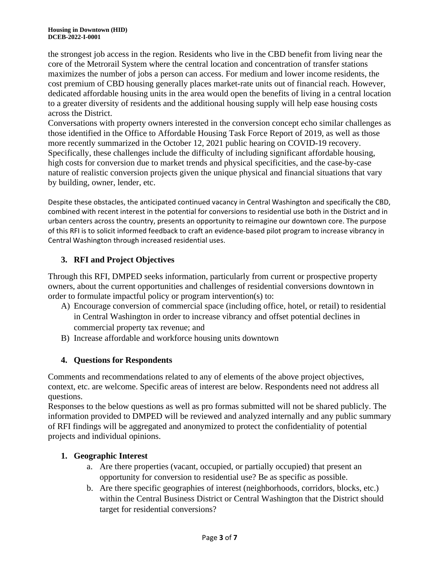the strongest job access in the region. Residents who live in the CBD benefit from living near the core of the Metrorail System where the central location and concentration of transfer stations maximizes the number of jobs a person can access. For medium and lower income residents, the cost premium of CBD housing generally places market-rate units out of financial reach. However, dedicated affordable housing units in the area would open the benefits of living in a central location to a greater diversity of residents and the additional housing supply will help ease housing costs across the District.

Conversations with property owners interested in the conversion concept echo similar challenges as those identified in the Office to Affordable Housing Task Force Report of 2019, as well as those more recently summarized in the October 12, 2021 public hearing on COVID-19 recovery. Specifically, these challenges include the difficulty of including significant affordable housing, high costs for conversion due to market trends and physical specificities, and the case-by-case nature of realistic conversion projects given the unique physical and financial situations that vary by building, owner, lender, etc.

Despite these obstacles, the anticipated continued vacancy in Central Washington and specifically the CBD, combined with recent interest in the potential for conversions to residential use both in the District and in urban centers across the country, presents an opportunity to reimagine our downtown core. The purpose of this RFI is to solicit informed feedback to craft an evidence-based pilot program to increase vibrancy in Central Washington through increased residential uses.

# **3. RFI and Project Objectives**

Through this RFI, DMPED seeks information, particularly from current or prospective property owners, about the current opportunities and challenges of residential conversions downtown in order to formulate impactful policy or program intervention(s) to:

- A) Encourage conversion of commercial space (including office, hotel, or retail) to residential in Central Washington in order to increase vibrancy and offset potential declines in commercial property tax revenue; and
- B) Increase affordable and workforce housing units downtown

# **4. Questions for Respondents**

Comments and recommendations related to any of elements of the above project objectives, context, etc. are welcome. Specific areas of interest are below. Respondents need not address all questions.

Responses to the below questions as well as pro formas submitted will not be shared publicly. The information provided to DMPED will be reviewed and analyzed internally and any public summary of RFI findings will be aggregated and anonymized to protect the confidentiality of potential projects and individual opinions.

# **1. Geographic Interest**

- a. Are there properties (vacant, occupied, or partially occupied) that present an opportunity for conversion to residential use? Be as specific as possible.
- b. Are there specific geographies of interest (neighborhoods, corridors, blocks, etc.) within the Central Business District or Central Washington that the District should target for residential conversions?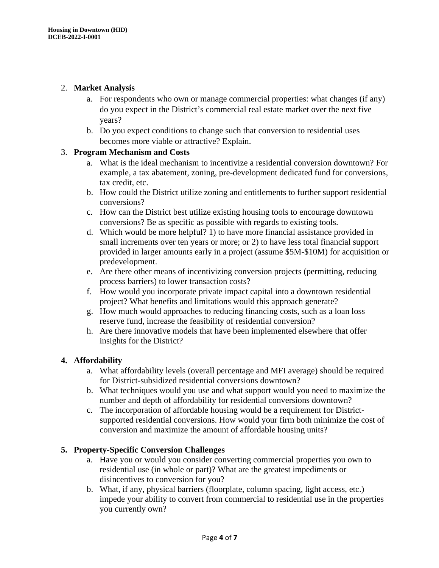# 2. **Market Analysis**

- a. For respondents who own or manage commercial properties: what changes (if any) do you expect in the District's commercial real estate market over the next five years?
- b. Do you expect conditions to change such that conversion to residential uses becomes more viable or attractive? Explain.

# 3. **Program Mechanism and Costs**

- a. What is the ideal mechanism to incentivize a residential conversion downtown? For example, a tax abatement, zoning, pre-development dedicated fund for conversions, tax credit, etc.
- b. How could the District utilize zoning and entitlements to further support residential conversions?
- c. How can the District best utilize existing housing tools to encourage downtown conversions? Be as specific as possible with regards to existing tools.
- d. Which would be more helpful? 1) to have more financial assistance provided in small increments over ten years or more; or 2) to have less total financial support provided in larger amounts early in a project (assume \$5M-\$10M) for acquisition or predevelopment.
- e. Are there other means of incentivizing conversion projects (permitting, reducing process barriers) to lower transaction costs?
- f. How would you incorporate private impact capital into a downtown residential project? What benefits and limitations would this approach generate?
- g. How much would approaches to reducing financing costs, such as a loan loss reserve fund, increase the feasibility of residential conversion?
- h. Are there innovative models that have been implemented elsewhere that offer insights for the District?

# **4. Affordability**

- a. What affordability levels (overall percentage and MFI average) should be required for District-subsidized residential conversions downtown?
- b. What techniques would you use and what support would you need to maximize the number and depth of affordability for residential conversions downtown?
- c. The incorporation of affordable housing would be a requirement for Districtsupported residential conversions. How would your firm both minimize the cost of conversion and maximize the amount of affordable housing units?

# **5. Property-Specific Conversion Challenges**

- a. Have you or would you consider converting commercial properties you own to residential use (in whole or part)? What are the greatest impediments or disincentives to conversion for you?
- b. What, if any, physical barriers (floorplate, column spacing, light access, etc.) impede your ability to convert from commercial to residential use in the properties you currently own?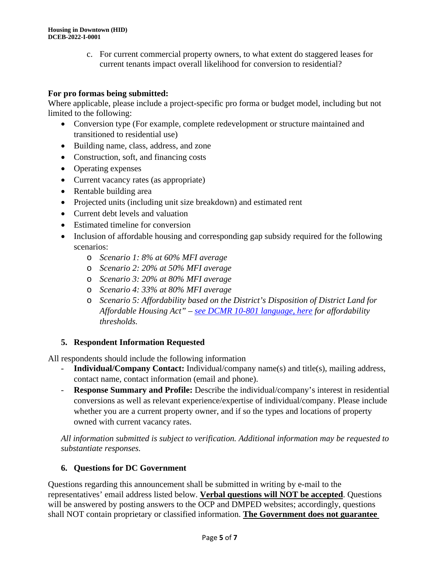c. For current commercial property owners, to what extent do staggered leases for current tenants impact overall likelihood for conversion to residential?

# **For pro formas being submitted:**

Where applicable, please include a project-specific pro forma or budget model, including but not limited to the following:

- Conversion type (For example, complete redevelopment or structure maintained and transitioned to residential use)
- Building name, class, address, and zone
- Construction, soft, and financing costs
- Operating expenses
- Current vacancy rates (as appropriate)
- Rentable building area
- Projected units (including unit size breakdown) and estimated rent
- Current debt levels and valuation
- Estimated timeline for conversion
- Inclusion of affordable housing and corresponding gap subsidy required for the following scenarios:
	- o *Scenario 1: 8% at 60% MFI average*
	- o *Scenario 2: 20% at 50% MFI average*
	- o *Scenario 3: 20% at 80% MFI average*
	- o *Scenario 4: 33% at 80% MFI average*
	- o *Scenario 5: Affordability based on the District's Disposition of District Land for Affordable Housing Act" – [see DCMR 10-801 language, here](https://code.dccouncil.us/us/dc/council/code/sections/10-801(Perm)) for affordability thresholds.*

# **5. Respondent Information Requested**

All respondents should include the following information

- **Individual/Company Contact:** Individual/company name(s) and title(s), mailing address, contact name, contact information (email and phone).
- **Response Summary and Profile:** Describe the individual/company's interest in residential conversions as well as relevant experience/expertise of individual/company. Please include whether you are a current property owner, and if so the types and locations of property owned with current vacancy rates.

*All information submitted is subject to verification. Additional information may be requested to substantiate responses.*

# **6. Questions for DC Government**

Questions regarding this announcement shall be submitted in writing by e-mail to the representatives' email address listed below. **Verbal questions will NOT be accepted**. Questions will be answered by posting answers to the OCP and DMPED websites; accordingly, questions shall NOT contain proprietary or classified information. **The Government does not guarantee**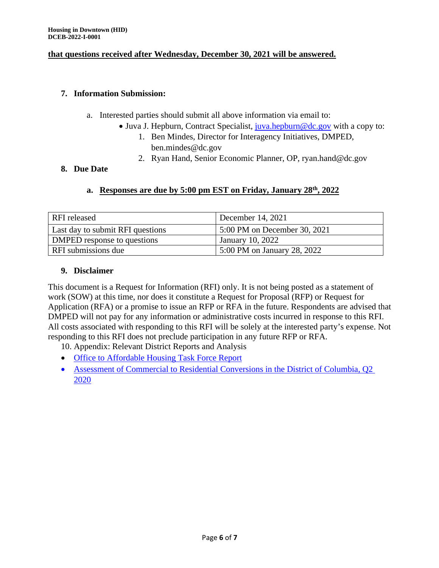#### **that questions received after Wednesday, December 30, 2021 will be answered.**

#### **7. Information Submission:**

- a. Interested parties should submit all above information via email to:
	- Juva J. Hepburn, Contract Specialist, [juva.hepburn@dc.gov](mailto:juva.hepburn@dc.gov) with a copy to:
		- 1. Ben Mindes, Director for Interagency Initiatives, DMPED, ben.mindes@dc.gov
		- 2. Ryan Hand, Senior Economic Planner, OP, ryan.hand@dc.gov

# **8. Due Date**

# **a. Responses are due by 5:00 pm EST on Friday, January 28th, 2022**

| <b>RFI</b> released              | December 14, $2021$          |  |  |
|----------------------------------|------------------------------|--|--|
| Last day to submit RFI questions | 5:00 PM on December 30, 2021 |  |  |
| DMPED response to questions      | January 10, 2022             |  |  |
| RFI submissions due              | 5:00 PM on January 28, 2022  |  |  |

# **9. Disclaimer**

This document is a Request for Information (RFI) only. It is not being posted as a statement of work (SOW) at this time, nor does it constitute a Request for Proposal (RFP) or Request for Application (RFA) or a promise to issue an RFP or RFA in the future. Respondents are advised that DMPED will not pay for any information or administrative costs incurred in response to this RFI. All costs associated with responding to this RFI will be solely at the interested party's expense. Not responding to this RFI does not preclude participation in any future RFP or RFA.

10. Appendix: Relevant District Reports and Analysis

- [Office to Affordable Housing Task Force Report](https://lims.dccouncil.us/downloads/LIMS/43264/Introduction/RC23-0108-Introduction.pdf)
- Assessment of Commercial to Residential [Conversions](https://planning.dc.gov/sites/default/files/dc/sites/op/page_content/attachments/Assessment%20of%20Commercial%20to%20Residential%20Conversions%20in%20the%20District%20of%20Columbia_Q2%202020.pdf) in the District of Columbia, O2 [2020](https://planning.dc.gov/sites/default/files/dc/sites/op/page_content/attachments/Assessment%20of%20Commercial%20to%20Residential%20Conversions%20in%20the%20District%20of%20Columbia_Q2%202020.pdf)